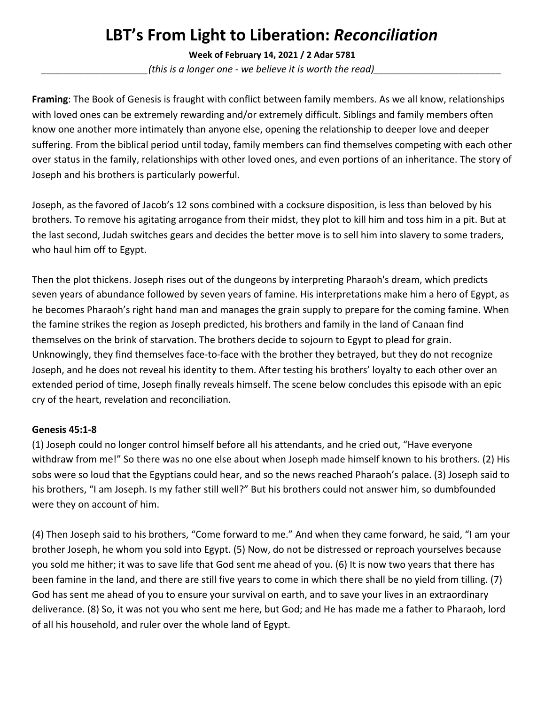## **LBT's From Light to Liberation:** *Reconciliation*

**Week of February 14, 2021 / 2 Adar 5781**

*\_\_\_\_\_\_\_\_\_\_\_\_\_\_\_\_\_\_\_\_(this is a longer one - we believe it is worth the read)\_\_\_\_\_\_\_\_\_\_\_\_\_\_\_\_\_\_\_\_\_\_\_\_*

**Framing**: The Book of Genesis is fraught with conflict between family members. As we all know, relationships with loved ones can be extremely rewarding and/or extremely difficult. Siblings and family members often know one another more intimately than anyone else, opening the relationship to deeper love and deeper suffering. From the biblical period until today, family members can find themselves competing with each other over status in the family, relationships with other loved ones, and even portions of an inheritance. The story of Joseph and his brothers is particularly powerful.

Joseph, as the favored of Jacob's 12 sons combined with a cocksure disposition, is less than beloved by his brothers. To remove his agitating arrogance from their midst, they plot to kill him and toss him in a pit. But at the last second, Judah switches gears and decides the better move is to sell him into slavery to some traders, who haul him off to Egypt.

Then the plot thickens. Joseph rises out of the dungeons by interpreting Pharaoh's dream, which predicts seven years of abundance followed by seven years of famine. His interpretations make him a hero of Egypt, as he becomes Pharaoh's right hand man and manages the grain supply to prepare for the coming famine. When the famine strikes the region as Joseph predicted, his brothers and family in the land of Canaan find themselves on the brink of starvation. The brothers decide to sojourn to Egypt to plead for grain. Unknowingly, they find themselves face-to-face with the brother they betrayed, but they do not recognize Joseph, and he does not reveal his identity to them. After testing his brothers' loyalty to each other over an extended period of time, Joseph finally reveals himself. The scene below concludes this episode with an epic cry of the heart, revelation and reconciliation.

## **Genesis 45:1-8**

(1) Joseph could no longer control himself before all his attendants, and he cried out, "Have everyone withdraw from me!" So there was no one else about when Joseph made himself known to his brothers. (2) His sobs were so loud that the Egyptians could hear, and so the news reached Pharaoh's palace. (3) Joseph said to his brothers, "I am Joseph. Is my father still well?" But his brothers could not answer him, so dumbfounded were they on account of him.

(4) Then Joseph said to his brothers, "Come forward to me." And when they came forward, he said, "I am your brother Joseph, he whom you sold into Egypt. (5) Now, do not be distressed or reproach yourselves because you sold me hither; it was to save life that God sent me ahead of you. (6) It is now two years that there has been famine in the land, and there are still five years to come in which there shall be no yield from tilling. (7) God has sent me ahead of you to ensure your survival on earth, and to save your lives in an extraordinary deliverance. (8) So, it was not you who sent me here, but God; and He has made me a father to Pharaoh, lord of all his household, and ruler over the whole land of Egypt.